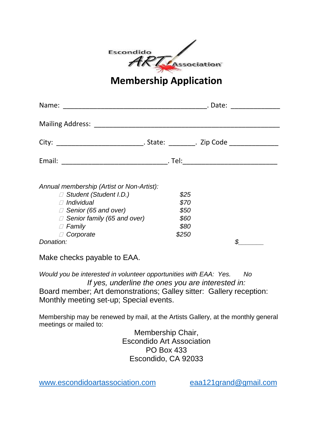| Escondido |             |
|-----------|-------------|
|           | Association |
|           |             |

## **Membership Application**

| Name:                                                                                                                                                                                                               | . Date:<br><u> 1980 - Jan Barbarat, prima politik (</u> |  |
|---------------------------------------------------------------------------------------------------------------------------------------------------------------------------------------------------------------------|---------------------------------------------------------|--|
|                                                                                                                                                                                                                     |                                                         |  |
|                                                                                                                                                                                                                     |                                                         |  |
|                                                                                                                                                                                                                     |                                                         |  |
| Annual membership (Artist or Non-Artist):<br>□ Student (Student I.D.)<br>$\sqcap$ Individual<br>$\Box$ Senior (65 and over)<br>$\Box$ Senior family (65 and over)<br>$\Box$ Family<br>$\Box$ Corporate<br>Donation: | \$25<br>\$70<br>\$50<br>\$60<br>\$80<br>\$250           |  |

Make checks payable to EAA.

*Would you be interested in volunteer opportunities with EAA: Yes. No If yes, underline the ones you are interested in:* Board member; Art demonstrations; Galley sitter: Gallery reception: Monthly meeting set-up; Special events.

Membership may be renewed by mail, at the Artists Gallery, at the monthly general meetings or mailed to:

Membership Chair, Escondido Art Association PO Box 433 Escondido, CA 92033

[www.escondidoartassociation.com](http://www.escondidoartassociation.com/) [eaa121grand@gmail.com](mailto:eaa121grand@gmail.com)